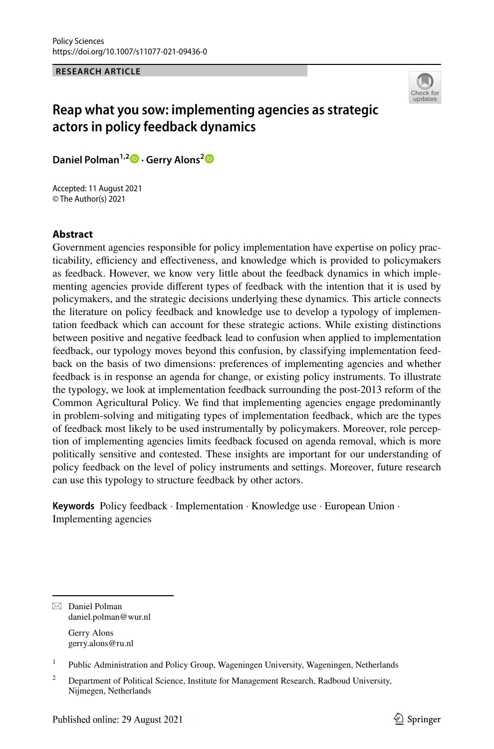**RESEARCH ARTICLE**



# **Reap what you sow: implementing agencies as strategic actors in policy feedback dynamics**

**Daniel Polman1,2  [·](http://orcid.org/0000-0002-4570-2968) Gerry Alons[2](http://orcid.org/0000-0003-2169-5510)**

Accepted: 11 August 2021 © The Author(s) 2021

### **Abstract**

Government agencies responsible for policy implementation have expertise on policy practicability, efficiency and effectiveness, and knowledge which is provided to policymakers as feedback. However, we know very little about the feedback dynamics in which implementing agencies provide diferent types of feedback with the intention that it is used by policymakers, and the strategic decisions underlying these dynamics. This article connects the literature on policy feedback and knowledge use to develop a typology of implementation feedback which can account for these strategic actions. While existing distinctions between positive and negative feedback lead to confusion when applied to implementation feedback, our typology moves beyond this confusion, by classifying implementation feedback on the basis of two dimensions: preferences of implementing agencies and whether feedback is in response an agenda for change, or existing policy instruments. To illustrate the typology, we look at implementation feedback surrounding the post-2013 reform of the Common Agricultural Policy. We fnd that implementing agencies engage predominantly in problem-solving and mitigating types of implementation feedback, which are the types of feedback most likely to be used instrumentally by policymakers. Moreover, role perception of implementing agencies limits feedback focused on agenda removal, which is more politically sensitive and contested. These insights are important for our understanding of policy feedback on the level of policy instruments and settings. Moreover, future research can use this typology to structure feedback by other actors.

**Keywords** Policy feedback · Implementation · Knowledge use · European Union · Implementing agencies

 $\boxtimes$  Daniel Polman daniel.polman@wur.nl

> Gerry Alons gerry.alons@ru.nl

<sup>&</sup>lt;sup>1</sup> Public Administration and Policy Group, Wageningen University, Wageningen, Netherlands

<sup>&</sup>lt;sup>2</sup> Department of Political Science, Institute for Management Research, Radboud University, Nijmegen, Netherlands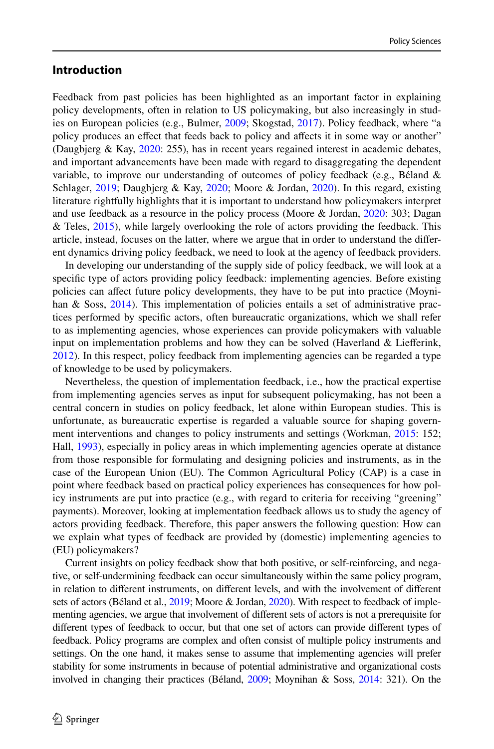# **Introduction**

Feedback from past policies has been highlighted as an important factor in explaining policy developments, often in relation to US policymaking, but also increasingly in studies on European policies (e.g., Bulmer, [2009](#page-23-0); Skogstad, [2017\)](#page-24-0). Policy feedback, where "a policy produces an efect that feeds back to policy and afects it in some way or another" (Daugbjerg & Kay, [2020:](#page-23-1) 255), has in recent years regained interest in academic debates, and important advancements have been made with regard to disaggregating the dependent variable, to improve our understanding of outcomes of policy feedback (e.g., Béland & Schlager, [2019;](#page-23-2) Daugbjerg & Kay, [2020;](#page-23-1) Moore & Jordan, [2020\)](#page-24-1). In this regard, existing literature rightfully highlights that it is important to understand how policymakers interpret and use feedback as a resource in the policy process (Moore & Jordan, [2020:](#page-24-1) 303; Dagan  $\&$  Teles, [2015\)](#page-23-3), while largely overlooking the role of actors providing the feedback. This article, instead, focuses on the latter, where we argue that in order to understand the diferent dynamics driving policy feedback, we need to look at the agency of feedback providers.

In developing our understanding of the supply side of policy feedback, we will look at a specifc type of actors providing policy feedback: implementing agencies. Before existing policies can afect future policy developments, they have to be put into practice (Moyni-han & Soss, [2014](#page-24-2)). This implementation of policies entails a set of administrative practices performed by specifc actors, often bureaucratic organizations, which we shall refer to as implementing agencies, whose experiences can provide policymakers with valuable input on implementation problems and how they can be solved (Haverland  $&$  Liefferink, [2012\)](#page-24-3). In this respect, policy feedback from implementing agencies can be regarded a type of knowledge to be used by policymakers.

Nevertheless, the question of implementation feedback, i.e., how the practical expertise from implementing agencies serves as input for subsequent policymaking, has not been a central concern in studies on policy feedback, let alone within European studies. This is unfortunate, as bureaucratic expertise is regarded a valuable source for shaping govern-ment interventions and changes to policy instruments and settings (Workman, [2015](#page-25-0): 152; Hall, [1993](#page-24-4)), especially in policy areas in which implementing agencies operate at distance from those responsible for formulating and designing policies and instruments, as in the case of the European Union (EU). The Common Agricultural Policy (CAP) is a case in point where feedback based on practical policy experiences has consequences for how policy instruments are put into practice (e.g., with regard to criteria for receiving "greening" payments). Moreover, looking at implementation feedback allows us to study the agency of actors providing feedback. Therefore, this paper answers the following question: How can we explain what types of feedback are provided by (domestic) implementing agencies to (EU) policymakers?

Current insights on policy feedback show that both positive, or self-reinforcing, and negative, or self-undermining feedback can occur simultaneously within the same policy program, in relation to diferent instruments, on diferent levels, and with the involvement of diferent sets of actors (Béland et al., [2019;](#page-23-4) Moore & Jordan, [2020\)](#page-24-1). With respect to feedback of implementing agencies, we argue that involvement of diferent sets of actors is not a prerequisite for diferent types of feedback to occur, but that one set of actors can provide diferent types of feedback. Policy programs are complex and often consist of multiple policy instruments and settings. On the one hand, it makes sense to assume that implementing agencies will prefer stability for some instruments in because of potential administrative and organizational costs involved in changing their practices (Béland, [2009;](#page-23-5) Moynihan & Soss, [2014:](#page-24-2) 321). On the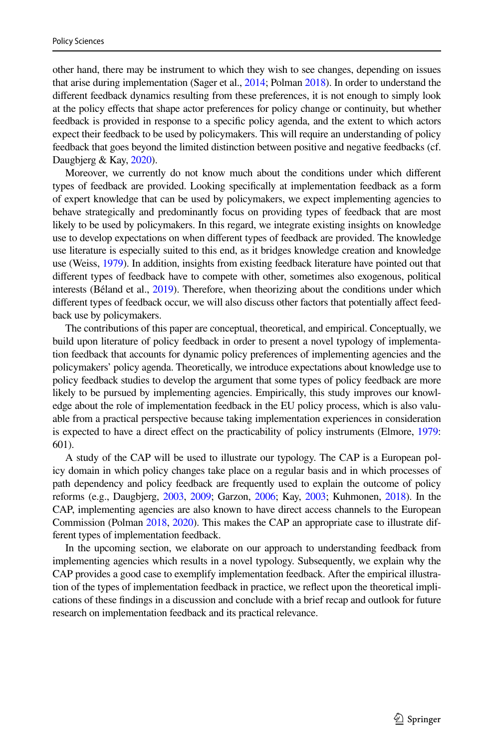other hand, there may be instrument to which they wish to see changes, depending on issues that arise during implementation (Sager et al., [2014](#page-24-5); Polman [2018\)](#page-24-6). In order to understand the diferent feedback dynamics resulting from these preferences, it is not enough to simply look at the policy efects that shape actor preferences for policy change or continuity, but whether feedback is provided in response to a specifc policy agenda, and the extent to which actors expect their feedback to be used by policymakers. This will require an understanding of policy feedback that goes beyond the limited distinction between positive and negative feedbacks (cf. Daugbjerg & Kay, [2020\)](#page-23-1).

Moreover, we currently do not know much about the conditions under which diferent types of feedback are provided. Looking specifcally at implementation feedback as a form of expert knowledge that can be used by policymakers, we expect implementing agencies to behave strategically and predominantly focus on providing types of feedback that are most likely to be used by policymakers. In this regard, we integrate existing insights on knowledge use to develop expectations on when diferent types of feedback are provided. The knowledge use literature is especially suited to this end, as it bridges knowledge creation and knowledge use (Weiss, [1979\)](#page-25-1). In addition, insights from existing feedback literature have pointed out that diferent types of feedback have to compete with other, sometimes also exogenous, political interests (Béland et al., [2019](#page-23-4)). Therefore, when theorizing about the conditions under which diferent types of feedback occur, we will also discuss other factors that potentially afect feedback use by policymakers.

The contributions of this paper are conceptual, theoretical, and empirical. Conceptually, we build upon literature of policy feedback in order to present a novel typology of implementation feedback that accounts for dynamic policy preferences of implementing agencies and the policymakers' policy agenda. Theoretically, we introduce expectations about knowledge use to policy feedback studies to develop the argument that some types of policy feedback are more likely to be pursued by implementing agencies. Empirically, this study improves our knowledge about the role of implementation feedback in the EU policy process, which is also valuable from a practical perspective because taking implementation experiences in consideration is expected to have a direct effect on the practicability of policy instruments (Elmore, [1979:](#page-23-6) 601).

A study of the CAP will be used to illustrate our typology. The CAP is a European policy domain in which policy changes take place on a regular basis and in which processes of path dependency and policy feedback are frequently used to explain the outcome of policy reforms (e.g., Daugbjerg, [2003,](#page-23-7) [2009;](#page-23-8) Garzon, [2006](#page-24-7); Kay, [2003](#page-24-8); Kuhmonen, [2018](#page-24-9)). In the CAP, implementing agencies are also known to have direct access channels to the European Commission (Polman [2018,](#page-24-6) [2020](#page-24-10)). This makes the CAP an appropriate case to illustrate different types of implementation feedback.

In the upcoming section, we elaborate on our approach to understanding feedback from implementing agencies which results in a novel typology. Subsequently, we explain why the CAP provides a good case to exemplify implementation feedback. After the empirical illustration of the types of implementation feedback in practice, we refect upon the theoretical implications of these fndings in a discussion and conclude with a brief recap and outlook for future research on implementation feedback and its practical relevance.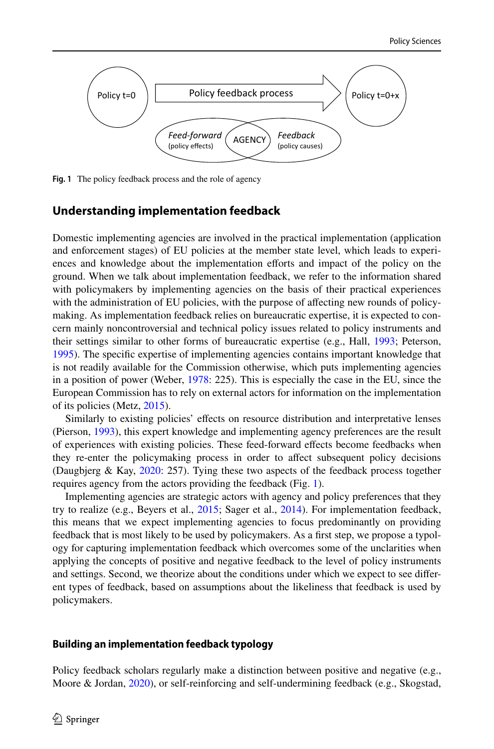

<span id="page-3-0"></span>**Fig. 1** The policy feedback process and the role of agency

### **Understanding implementation feedback**

Domestic implementing agencies are involved in the practical implementation (application and enforcement stages) of EU policies at the member state level, which leads to experiences and knowledge about the implementation eforts and impact of the policy on the ground. When we talk about implementation feedback, we refer to the information shared with policymakers by implementing agencies on the basis of their practical experiences with the administration of EU policies, with the purpose of afecting new rounds of policymaking. As implementation feedback relies on bureaucratic expertise, it is expected to concern mainly noncontroversial and technical policy issues related to policy instruments and their settings similar to other forms of bureaucratic expertise (e.g., Hall, [1993;](#page-24-4) Peterson, [1995\)](#page-24-11). The specifc expertise of implementing agencies contains important knowledge that is not readily available for the Commission otherwise, which puts implementing agencies in a position of power (Weber, [1978:](#page-25-2) 225). This is especially the case in the EU, since the European Commission has to rely on external actors for information on the implementation of its policies (Metz, [2015\)](#page-24-12).

Similarly to existing policies' efects on resource distribution and interpretative lenses (Pierson, [1993](#page-24-13)), this expert knowledge and implementing agency preferences are the result of experiences with existing policies. These feed-forward efects become feedbacks when they re-enter the policymaking process in order to afect subsequent policy decisions (Daugbjerg & Kay, [2020](#page-23-1): 257). Tying these two aspects of the feedback process together requires agency from the actors providing the feedback (Fig. [1](#page-3-0)).

Implementing agencies are strategic actors with agency and policy preferences that they try to realize (e.g., Beyers et al., [2015;](#page-23-9) Sager et al., [2014\)](#page-24-5). For implementation feedback, this means that we expect implementing agencies to focus predominantly on providing feedback that is most likely to be used by policymakers. As a frst step, we propose a typology for capturing implementation feedback which overcomes some of the unclarities when applying the concepts of positive and negative feedback to the level of policy instruments and settings. Second, we theorize about the conditions under which we expect to see diferent types of feedback, based on assumptions about the likeliness that feedback is used by policymakers.

#### **Building an implementation feedback typology**

Policy feedback scholars regularly make a distinction between positive and negative (e.g., Moore & Jordan, [2020\)](#page-24-1), or self-reinforcing and self-undermining feedback (e.g., Skogstad,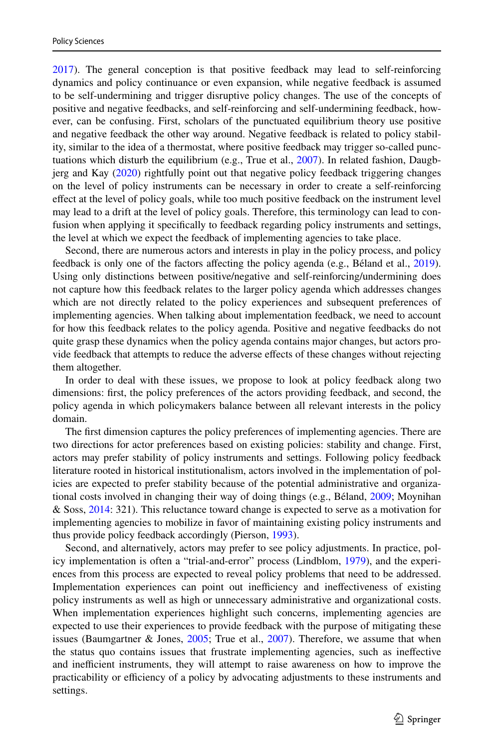[2017\)](#page-24-0). The general conception is that positive feedback may lead to self-reinforcing dynamics and policy continuance or even expansion, while negative feedback is assumed to be self-undermining and trigger disruptive policy changes. The use of the concepts of positive and negative feedbacks, and self-reinforcing and self-undermining feedback, however, can be confusing. First, scholars of the punctuated equilibrium theory use positive and negative feedback the other way around. Negative feedback is related to policy stability, similar to the idea of a thermostat, where positive feedback may trigger so-called punctuations which disturb the equilibrium (e.g., True et al., [2007](#page-25-3)). In related fashion, Daugbjerg and Kay [\(2020](#page-23-1)) rightfully point out that negative policy feedback triggering changes on the level of policy instruments can be necessary in order to create a self-reinforcing efect at the level of policy goals, while too much positive feedback on the instrument level may lead to a drift at the level of policy goals. Therefore, this terminology can lead to confusion when applying it specifcally to feedback regarding policy instruments and settings, the level at which we expect the feedback of implementing agencies to take place.

Second, there are numerous actors and interests in play in the policy process, and policy feedback is only one of the factors afecting the policy agenda (e.g., Béland et al., [2019](#page-23-4)). Using only distinctions between positive/negative and self-reinforcing/undermining does not capture how this feedback relates to the larger policy agenda which addresses changes which are not directly related to the policy experiences and subsequent preferences of implementing agencies. When talking about implementation feedback, we need to account for how this feedback relates to the policy agenda. Positive and negative feedbacks do not quite grasp these dynamics when the policy agenda contains major changes, but actors provide feedback that attempts to reduce the adverse efects of these changes without rejecting them altogether.

In order to deal with these issues, we propose to look at policy feedback along two dimensions: frst, the policy preferences of the actors providing feedback, and second, the policy agenda in which policymakers balance between all relevant interests in the policy domain.

The frst dimension captures the policy preferences of implementing agencies. There are two directions for actor preferences based on existing policies: stability and change. First, actors may prefer stability of policy instruments and settings. Following policy feedback literature rooted in historical institutionalism, actors involved in the implementation of policies are expected to prefer stability because of the potential administrative and organizational costs involved in changing their way of doing things (e.g., Béland, [2009](#page-23-5); Moynihan & Soss, [2014:](#page-24-2) 321). This reluctance toward change is expected to serve as a motivation for implementing agencies to mobilize in favor of maintaining existing policy instruments and thus provide policy feedback accordingly (Pierson, [1993\)](#page-24-13).

Second, and alternatively, actors may prefer to see policy adjustments. In practice, policy implementation is often a "trial-and-error" process (Lindblom, [1979\)](#page-24-14), and the experiences from this process are expected to reveal policy problems that need to be addressed. Implementation experiences can point out inefficiency and ineffectiveness of existing policy instruments as well as high or unnecessary administrative and organizational costs. When implementation experiences highlight such concerns, implementing agencies are expected to use their experiences to provide feedback with the purpose of mitigating these issues (Baumgartner & Jones, [2005;](#page-23-10) True et al., [2007\)](#page-25-3). Therefore, we assume that when the status quo contains issues that frustrate implementing agencies, such as inefective and inefficient instruments, they will attempt to raise awareness on how to improve the practicability or efficiency of a policy by advocating adjustments to these instruments and settings.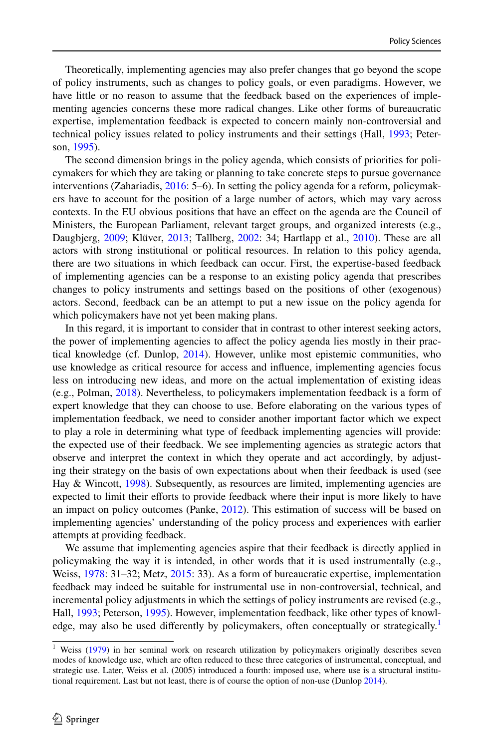Theoretically, implementing agencies may also prefer changes that go beyond the scope of policy instruments, such as changes to policy goals, or even paradigms. However, we have little or no reason to assume that the feedback based on the experiences of implementing agencies concerns these more radical changes. Like other forms of bureaucratic expertise, implementation feedback is expected to concern mainly non-controversial and technical policy issues related to policy instruments and their settings (Hall, [1993;](#page-24-4) Peterson, [1995\)](#page-24-11).

The second dimension brings in the policy agenda, which consists of priorities for policymakers for which they are taking or planning to take concrete steps to pursue governance interventions (Zahariadis, [2016:](#page-25-4) 5–6). In setting the policy agenda for a reform, policymakers have to account for the position of a large number of actors, which may vary across contexts. In the EU obvious positions that have an efect on the agenda are the Council of Ministers, the European Parliament, relevant target groups, and organized interests (e.g., Daugbjerg, [2009](#page-23-8); Klüver, [2013](#page-24-15); Tallberg, [2002:](#page-25-5) 34; Hartlapp et al., [2010](#page-24-16)). These are all actors with strong institutional or political resources. In relation to this policy agenda, there are two situations in which feedback can occur. First, the expertise-based feedback of implementing agencies can be a response to an existing policy agenda that prescribes changes to policy instruments and settings based on the positions of other (exogenous) actors. Second, feedback can be an attempt to put a new issue on the policy agenda for which policymakers have not yet been making plans.

In this regard, it is important to consider that in contrast to other interest seeking actors, the power of implementing agencies to afect the policy agenda lies mostly in their practical knowledge (cf. Dunlop, [2014](#page-23-11)). However, unlike most epistemic communities, who use knowledge as critical resource for access and infuence, implementing agencies focus less on introducing new ideas, and more on the actual implementation of existing ideas (e.g., Polman, [2018\)](#page-24-6). Nevertheless, to policymakers implementation feedback is a form of expert knowledge that they can choose to use. Before elaborating on the various types of implementation feedback, we need to consider another important factor which we expect to play a role in determining what type of feedback implementing agencies will provide: the expected use of their feedback. We see implementing agencies as strategic actors that observe and interpret the context in which they operate and act accordingly, by adjusting their strategy on the basis of own expectations about when their feedback is used (see Hay & Wincott, [1998](#page-24-17)). Subsequently, as resources are limited, implementing agencies are expected to limit their efforts to provide feedback where their input is more likely to have an impact on policy outcomes (Panke, [2012](#page-24-18)). This estimation of success will be based on implementing agencies' understanding of the policy process and experiences with earlier attempts at providing feedback.

We assume that implementing agencies aspire that their feedback is directly applied in policymaking the way it is intended, in other words that it is used instrumentally (e.g., Weiss, [1978](#page-25-6): 31–32; Metz, [2015:](#page-24-12) 33). As a form of bureaucratic expertise, implementation feedback may indeed be suitable for instrumental use in non-controversial, technical, and incremental policy adjustments in which the settings of policy instruments are revised (e.g., Hall, [1993;](#page-24-4) Peterson, [1995](#page-24-11)). However, implementation feedback, like other types of knowl-edge, may also be used differently by policymakers, often conceptually or strategically.<sup>[1](#page-5-0)</sup>

<span id="page-5-0"></span><sup>&</sup>lt;sup>1</sup> Weiss ([1979\)](#page-25-1) in her seminal work on research utilization by policymakers originally describes seven modes of knowledge use, which are often reduced to these three categories of instrumental, conceptual, and strategic use. Later, Weiss et al. (2005) introduced a fourth: imposed use, where use is a structural institu-tional requirement. Last but not least, there is of course the option of non-use (Dunlop [2014](#page-23-11)).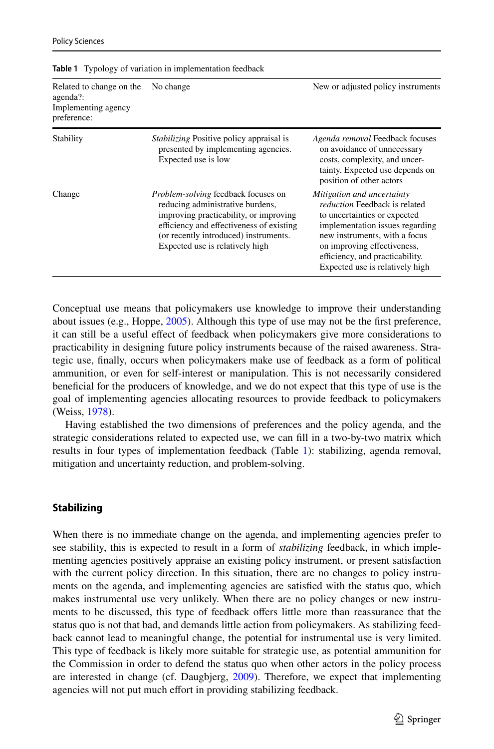| Related to change on the<br>agenda?:<br>Implementing agency<br>preference: | No change                                                                                                                                                                                                                                 | New or adjusted policy instruments                                                                                                                                                                                                                                          |
|----------------------------------------------------------------------------|-------------------------------------------------------------------------------------------------------------------------------------------------------------------------------------------------------------------------------------------|-----------------------------------------------------------------------------------------------------------------------------------------------------------------------------------------------------------------------------------------------------------------------------|
| Stability                                                                  | <i>Stabilizing</i> Positive policy appraisal is<br>presented by implementing agencies.<br>Expected use is low                                                                                                                             | Agenda removal Feedback focuses<br>on avoidance of unnecessary<br>costs, complexity, and uncer-<br>tainty. Expected use depends on<br>position of other actors                                                                                                              |
| Change                                                                     | Problem-solving feedback focuses on<br>reducing administrative burdens,<br>improving practicability, or improving<br>efficiency and effectiveness of existing<br>(or recently introduced) instruments.<br>Expected use is relatively high | Mitigation and uncertainty<br><i>reduction</i> Feedback is related<br>to uncertainties or expected<br>implementation issues regarding<br>new instruments, with a focus<br>on improving effectiveness,<br>efficiency, and practicability.<br>Expected use is relatively high |

<span id="page-6-0"></span>**Table 1** Typology of variation in implementation feedback

Conceptual use means that policymakers use knowledge to improve their understanding about issues (e.g., Hoppe,  $2005$ ). Although this type of use may not be the first preference, it can still be a useful efect of feedback when policymakers give more considerations to practicability in designing future policy instruments because of the raised awareness. Strategic use, fnally, occurs when policymakers make use of feedback as a form of political ammunition, or even for self-interest or manipulation. This is not necessarily considered benefcial for the producers of knowledge, and we do not expect that this type of use is the goal of implementing agencies allocating resources to provide feedback to policymakers (Weiss, [1978](#page-25-6)).

Having established the two dimensions of preferences and the policy agenda, and the strategic considerations related to expected use, we can fll in a two-by-two matrix which results in four types of implementation feedback (Table [1](#page-6-0)): stabilizing, agenda removal, mitigation and uncertainty reduction, and problem-solving.

### **Stabilizing**

When there is no immediate change on the agenda, and implementing agencies prefer to see stability, this is expected to result in a form of *stabilizing* feedback, in which implementing agencies positively appraise an existing policy instrument, or present satisfaction with the current policy direction. In this situation, there are no changes to policy instruments on the agenda, and implementing agencies are satisfed with the status quo, which makes instrumental use very unlikely. When there are no policy changes or new instruments to be discussed, this type of feedback offers little more than reassurance that the status quo is not that bad, and demands little action from policymakers. As stabilizing feedback cannot lead to meaningful change, the potential for instrumental use is very limited. This type of feedback is likely more suitable for strategic use, as potential ammunition for the Commission in order to defend the status quo when other actors in the policy process are interested in change (cf. Daugbjerg, [2009](#page-23-8)). Therefore, we expect that implementing agencies will not put much effort in providing stabilizing feedback.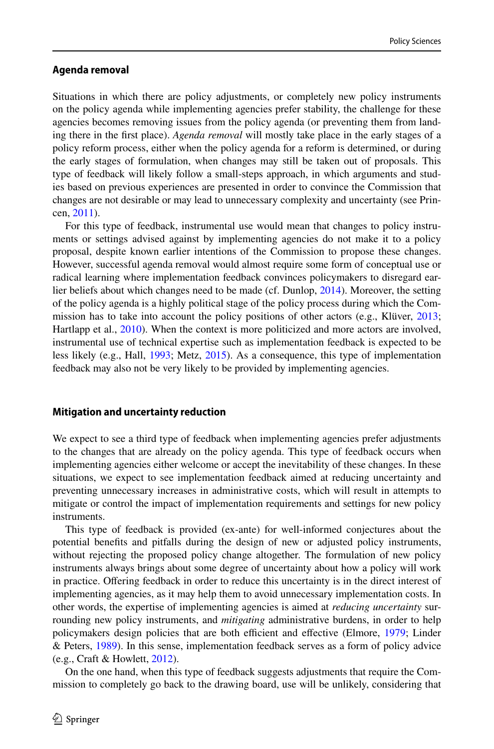#### **Agenda removal**

Situations in which there are policy adjustments, or completely new policy instruments on the policy agenda while implementing agencies prefer stability, the challenge for these agencies becomes removing issues from the policy agenda (or preventing them from landing there in the frst place). *Agenda removal* will mostly take place in the early stages of a policy reform process, either when the policy agenda for a reform is determined, or during the early stages of formulation, when changes may still be taken out of proposals. This type of feedback will likely follow a small-steps approach, in which arguments and studies based on previous experiences are presented in order to convince the Commission that changes are not desirable or may lead to unnecessary complexity and uncertainty (see Princen, [2011\)](#page-24-20).

For this type of feedback, instrumental use would mean that changes to policy instruments or settings advised against by implementing agencies do not make it to a policy proposal, despite known earlier intentions of the Commission to propose these changes. However, successful agenda removal would almost require some form of conceptual use or radical learning where implementation feedback convinces policymakers to disregard earlier beliefs about which changes need to be made (cf. Dunlop, [2014\)](#page-23-11). Moreover, the setting of the policy agenda is a highly political stage of the policy process during which the Commission has to take into account the policy positions of other actors (e.g., Klüver, [2013;](#page-24-15) Hartlapp et al., [2010](#page-24-16)). When the context is more politicized and more actors are involved, instrumental use of technical expertise such as implementation feedback is expected to be less likely (e.g., Hall, [1993;](#page-24-4) Metz, [2015\)](#page-24-12). As a consequence, this type of implementation feedback may also not be very likely to be provided by implementing agencies.

#### **Mitigation and uncertainty reduction**

We expect to see a third type of feedback when implementing agencies prefer adjustments to the changes that are already on the policy agenda. This type of feedback occurs when implementing agencies either welcome or accept the inevitability of these changes. In these situations, we expect to see implementation feedback aimed at reducing uncertainty and preventing unnecessary increases in administrative costs, which will result in attempts to mitigate or control the impact of implementation requirements and settings for new policy instruments.

This type of feedback is provided (ex-ante) for well-informed conjectures about the potential benefts and pitfalls during the design of new or adjusted policy instruments, without rejecting the proposed policy change altogether. The formulation of new policy instruments always brings about some degree of uncertainty about how a policy will work in practice. Ofering feedback in order to reduce this uncertainty is in the direct interest of implementing agencies, as it may help them to avoid unnecessary implementation costs. In other words, the expertise of implementing agencies is aimed at *reducing uncertainty* surrounding new policy instruments, and *mitigating* administrative burdens, in order to help policymakers design policies that are both efficient and effective (Elmore, [1979;](#page-23-6) Linder & Peters, [1989](#page-24-21)). In this sense, implementation feedback serves as a form of policy advice (e.g., Craft & Howlett, [2012\)](#page-23-12).

On the one hand, when this type of feedback suggests adjustments that require the Commission to completely go back to the drawing board, use will be unlikely, considering that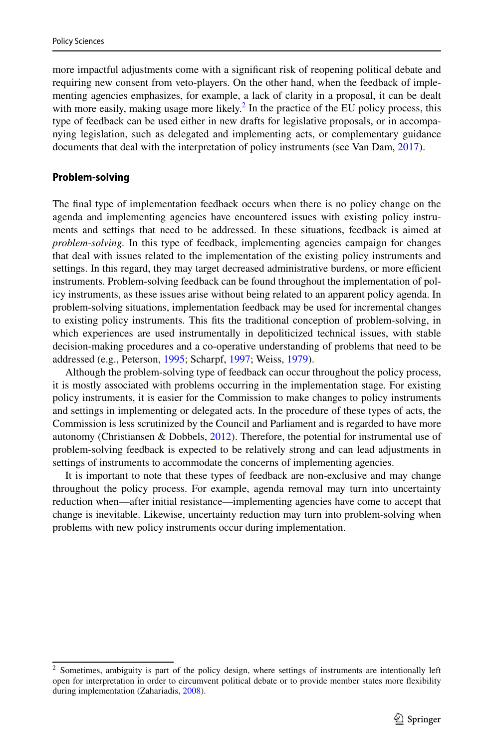more impactful adjustments come with a signifcant risk of reopening political debate and requiring new consent from veto-players. On the other hand, when the feedback of implementing agencies emphasizes, for example, a lack of clarity in a proposal, it can be dealt with more easily, making usage more likely.<sup>2</sup> In the practice of the EU policy process, this type of feedback can be used either in new drafts for legislative proposals, or in accompanying legislation, such as delegated and implementing acts, or complementary guidance documents that deal with the interpretation of policy instruments (see Van Dam, [2017](#page-25-7)).

### **Problem‑solving**

The fnal type of implementation feedback occurs when there is no policy change on the agenda and implementing agencies have encountered issues with existing policy instruments and settings that need to be addressed. In these situations, feedback is aimed at *problem-solving.* In this type of feedback, implementing agencies campaign for changes that deal with issues related to the implementation of the existing policy instruments and settings. In this regard, they may target decreased administrative burdens, or more efficient instruments. Problem-solving feedback can be found throughout the implementation of policy instruments, as these issues arise without being related to an apparent policy agenda. In problem-solving situations, implementation feedback may be used for incremental changes to existing policy instruments. This fts the traditional conception of problem-solving, in which experiences are used instrumentally in depoliticized technical issues, with stable decision-making procedures and a co-operative understanding of problems that need to be addressed (e.g., Peterson, [1995](#page-24-11); Scharpf, [1997;](#page-24-22) Weiss, [1979](#page-25-1)).

Although the problem-solving type of feedback can occur throughout the policy process, it is mostly associated with problems occurring in the implementation stage. For existing policy instruments, it is easier for the Commission to make changes to policy instruments and settings in implementing or delegated acts. In the procedure of these types of acts, the Commission is less scrutinized by the Council and Parliament and is regarded to have more autonomy (Christiansen & Dobbels,  $2012$ ). Therefore, the potential for instrumental use of problem-solving feedback is expected to be relatively strong and can lead adjustments in settings of instruments to accommodate the concerns of implementing agencies.

It is important to note that these types of feedback are non-exclusive and may change throughout the policy process. For example, agenda removal may turn into uncertainty reduction when—after initial resistance—implementing agencies have come to accept that change is inevitable. Likewise, uncertainty reduction may turn into problem-solving when problems with new policy instruments occur during implementation.

<span id="page-8-0"></span><sup>&</sup>lt;sup>2</sup> Sometimes, ambiguity is part of the policy design, where settings of instruments are intentionally left open for interpretation in order to circumvent political debate or to provide member states more fexibility during implementation (Zahariadis, [2008\)](#page-25-8).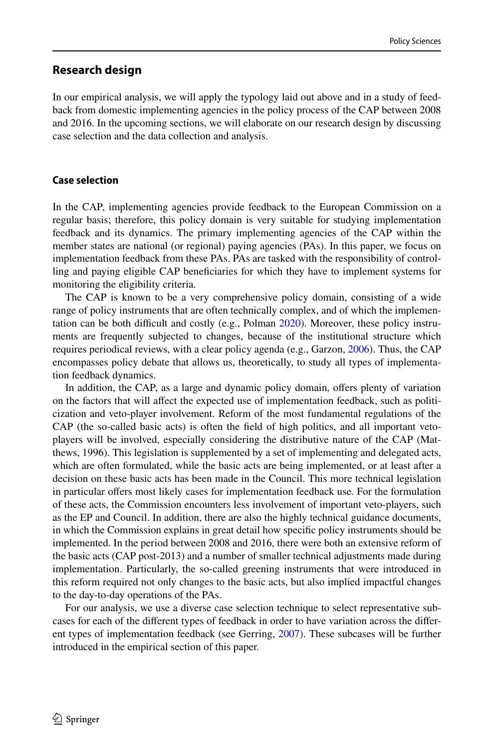### **Research design**

In our empirical analysis, we will apply the typology laid out above and in a study of feedback from domestic implementing agencies in the policy process of the CAP between 2008 and 2016. In the upcoming sections, we will elaborate on our research design by discussing case selection and the data collection and analysis.

### **Case selection**

In the CAP, implementing agencies provide feedback to the European Commission on a regular basis; therefore, this policy domain is very suitable for studying implementation feedback and its dynamics. The primary implementing agencies of the CAP within the member states are national (or regional) paying agencies (PAs). In this paper, we focus on implementation feedback from these PAs. PAs are tasked with the responsibility of controlling and paying eligible CAP benefciaries for which they have to implement systems for monitoring the eligibility criteria.

The CAP is known to be a very comprehensive policy domain, consisting of a wide range of policy instruments that are often technically complex, and of which the implementation can be both difficult and costly (e.g., Polman  $2020$ ). Moreover, these policy instruments are frequently subjected to changes, because of the institutional structure which requires periodical reviews, with a clear policy agenda (e.g., Garzon, [2006\)](#page-24-7). Thus, the CAP encompasses policy debate that allows us, theoretically, to study all types of implementation feedback dynamics.

In addition, the CAP, as a large and dynamic policy domain, ofers plenty of variation on the factors that will afect the expected use of implementation feedback, such as politicization and veto-player involvement. Reform of the most fundamental regulations of the CAP (the so-called basic acts) is often the feld of high politics, and all important vetoplayers will be involved, especially considering the distributive nature of the CAP (Matthews, 1996). This legislation is supplemented by a set of implementing and delegated acts, which are often formulated, while the basic acts are being implemented, or at least after a decision on these basic acts has been made in the Council. This more technical legislation in particular ofers most likely cases for implementation feedback use. For the formulation of these acts, the Commission encounters less involvement of important veto-players, such as the EP and Council. In addition, there are also the highly technical guidance documents, in which the Commission explains in great detail how specifc policy instruments should be implemented. In the period between 2008 and 2016, there were both an extensive reform of the basic acts (CAP post-2013) and a number of smaller technical adjustments made during implementation. Particularly, the so-called greening instruments that were introduced in this reform required not only changes to the basic acts, but also implied impactful changes to the day-to-day operations of the PAs.

For our analysis, we use a diverse case selection technique to select representative subcases for each of the diferent types of feedback in order to have variation across the diferent types of implementation feedback (see Gerring, [2007\)](#page-24-23). These subcases will be further introduced in the empirical section of this paper.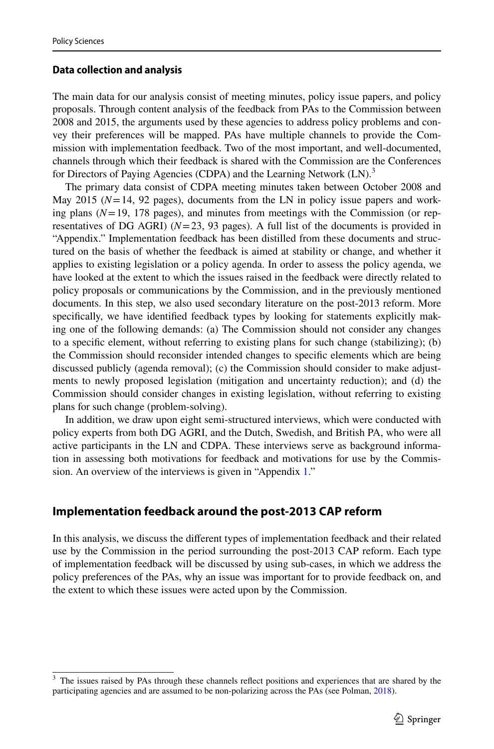### **Data collection and analysis**

The main data for our analysis consist of meeting minutes, policy issue papers, and policy proposals. Through content analysis of the feedback from PAs to the Commission between 2008 and 2015, the arguments used by these agencies to address policy problems and convey their preferences will be mapped. PAs have multiple channels to provide the Commission with implementation feedback. Two of the most important, and well-documented, channels through which their feedback is shared with the Commission are the Conferences for Directors of Paying Agencies (CDPA) and the Learning Network (LN).<sup>[3](#page-10-0)</sup>

The primary data consist of CDPA meeting minutes taken between October 2008 and May 2015 ( $N=14$ , 92 pages), documents from the LN in policy issue papers and working plans  $(N=19, 178$  pages), and minutes from meetings with the Commission (or representatives of DG AGRI)  $(N=23, 93$  pages). A full list of the documents is provided in "Appendix." Implementation feedback has been distilled from these documents and structured on the basis of whether the feedback is aimed at stability or change, and whether it applies to existing legislation or a policy agenda. In order to assess the policy agenda, we have looked at the extent to which the issues raised in the feedback were directly related to policy proposals or communications by the Commission, and in the previously mentioned documents. In this step, we also used secondary literature on the post-2013 reform. More specifcally, we have identifed feedback types by looking for statements explicitly making one of the following demands: (a) The Commission should not consider any changes to a specifc element, without referring to existing plans for such change (stabilizing); (b) the Commission should reconsider intended changes to specifc elements which are being discussed publicly (agenda removal); (c) the Commission should consider to make adjustments to newly proposed legislation (mitigation and uncertainty reduction); and (d) the Commission should consider changes in existing legislation, without referring to existing plans for such change (problem-solving).

In addition, we draw upon eight semi-structured interviews, which were conducted with policy experts from both DG AGRI, and the Dutch, Swedish, and British PA, who were all active participants in the LN and CDPA. These interviews serve as background information in assessing both motivations for feedback and motivations for use by the Commission. An overview of the interviews is given in "Appendix [1](#page-20-0)."

# **Implementation feedback around the post‑2013 CAP reform**

In this analysis, we discuss the diferent types of implementation feedback and their related use by the Commission in the period surrounding the post-2013 CAP reform. Each type of implementation feedback will be discussed by using sub-cases, in which we address the policy preferences of the PAs, why an issue was important for to provide feedback on, and the extent to which these issues were acted upon by the Commission.

<span id="page-10-0"></span><sup>&</sup>lt;sup>3</sup> The issues raised by PAs through these channels reflect positions and experiences that are shared by the participating agencies and are assumed to be non-polarizing across the PAs (see Polman, [2018\)](#page-24-6).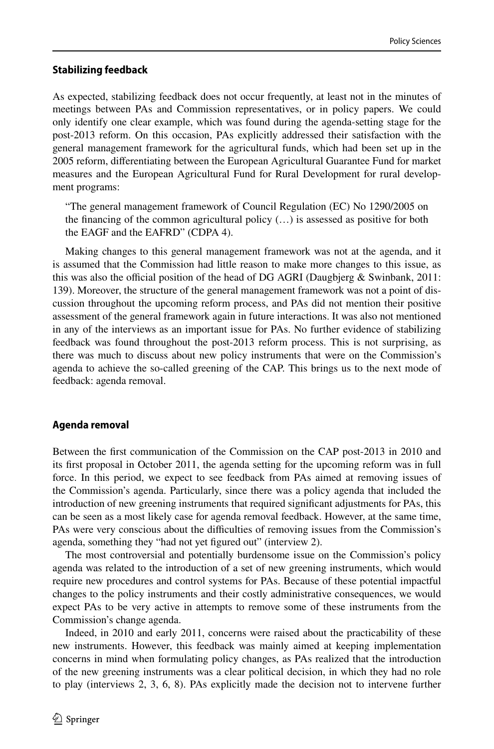#### **Stabilizing feedback**

As expected, stabilizing feedback does not occur frequently, at least not in the minutes of meetings between PAs and Commission representatives, or in policy papers. We could only identify one clear example, which was found during the agenda-setting stage for the post-2013 reform. On this occasion, PAs explicitly addressed their satisfaction with the general management framework for the agricultural funds, which had been set up in the 2005 reform, diferentiating between the European Agricultural Guarantee Fund for market measures and the European Agricultural Fund for Rural Development for rural development programs:

"The general management framework of Council Regulation (EC) No 1290/2005 on the financing of the common agricultural policy  $(\ldots)$  is assessed as positive for both the EAGF and the EAFRD" (CDPA 4).

Making changes to this general management framework was not at the agenda, and it is assumed that the Commission had little reason to make more changes to this issue, as this was also the official position of the head of DG AGRI (Daugbjerg  $\&$  Swinbank, 2011: 139). Moreover, the structure of the general management framework was not a point of discussion throughout the upcoming reform process, and PAs did not mention their positive assessment of the general framework again in future interactions. It was also not mentioned in any of the interviews as an important issue for PAs. No further evidence of stabilizing feedback was found throughout the post-2013 reform process. This is not surprising, as there was much to discuss about new policy instruments that were on the Commission's agenda to achieve the so-called greening of the CAP. This brings us to the next mode of feedback: agenda removal.

### **Agenda removal**

Between the frst communication of the Commission on the CAP post-2013 in 2010 and its frst proposal in October 2011, the agenda setting for the upcoming reform was in full force. In this period, we expect to see feedback from PAs aimed at removing issues of the Commission's agenda. Particularly, since there was a policy agenda that included the introduction of new greening instruments that required signifcant adjustments for PAs, this can be seen as a most likely case for agenda removal feedback. However, at the same time, PAs were very conscious about the difficulties of removing issues from the Commission's agenda, something they "had not yet fgured out" (interview 2).

The most controversial and potentially burdensome issue on the Commission's policy agenda was related to the introduction of a set of new greening instruments, which would require new procedures and control systems for PAs. Because of these potential impactful changes to the policy instruments and their costly administrative consequences, we would expect PAs to be very active in attempts to remove some of these instruments from the Commission's change agenda.

Indeed, in 2010 and early 2011, concerns were raised about the practicability of these new instruments. However, this feedback was mainly aimed at keeping implementation concerns in mind when formulating policy changes, as PAs realized that the introduction of the new greening instruments was a clear political decision, in which they had no role to play (interviews 2, 3, 6, 8). PAs explicitly made the decision not to intervene further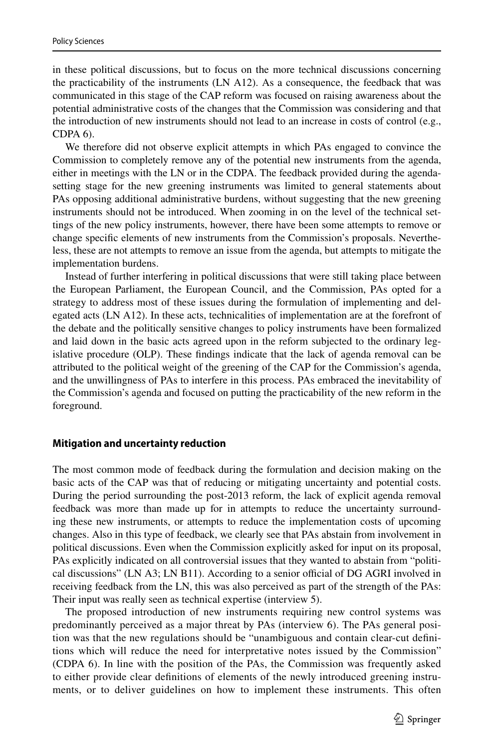in these political discussions, but to focus on the more technical discussions concerning the practicability of the instruments (LN A12). As a consequence, the feedback that was communicated in this stage of the CAP reform was focused on raising awareness about the potential administrative costs of the changes that the Commission was considering and that the introduction of new instruments should not lead to an increase in costs of control (e.g., CDPA 6).

We therefore did not observe explicit attempts in which PAs engaged to convince the Commission to completely remove any of the potential new instruments from the agenda, either in meetings with the LN or in the CDPA. The feedback provided during the agendasetting stage for the new greening instruments was limited to general statements about PAs opposing additional administrative burdens, without suggesting that the new greening instruments should not be introduced. When zooming in on the level of the technical settings of the new policy instruments, however, there have been some attempts to remove or change specifc elements of new instruments from the Commission's proposals. Nevertheless, these are not attempts to remove an issue from the agenda, but attempts to mitigate the implementation burdens.

Instead of further interfering in political discussions that were still taking place between the European Parliament, the European Council, and the Commission, PAs opted for a strategy to address most of these issues during the formulation of implementing and delegated acts (LN A12). In these acts, technicalities of implementation are at the forefront of the debate and the politically sensitive changes to policy instruments have been formalized and laid down in the basic acts agreed upon in the reform subjected to the ordinary legislative procedure (OLP). These fndings indicate that the lack of agenda removal can be attributed to the political weight of the greening of the CAP for the Commission's agenda, and the unwillingness of PAs to interfere in this process. PAs embraced the inevitability of the Commission's agenda and focused on putting the practicability of the new reform in the foreground.

#### **Mitigation and uncertainty reduction**

The most common mode of feedback during the formulation and decision making on the basic acts of the CAP was that of reducing or mitigating uncertainty and potential costs. During the period surrounding the post-2013 reform, the lack of explicit agenda removal feedback was more than made up for in attempts to reduce the uncertainty surrounding these new instruments, or attempts to reduce the implementation costs of upcoming changes. Also in this type of feedback, we clearly see that PAs abstain from involvement in political discussions. Even when the Commission explicitly asked for input on its proposal, PAs explicitly indicated on all controversial issues that they wanted to abstain from "political discussions" (LN A3; LN B11). According to a senior official of DG AGRI involved in receiving feedback from the LN, this was also perceived as part of the strength of the PAs: Their input was really seen as technical expertise (interview 5).

The proposed introduction of new instruments requiring new control systems was predominantly perceived as a major threat by PAs (interview 6). The PAs general position was that the new regulations should be "unambiguous and contain clear-cut defnitions which will reduce the need for interpretative notes issued by the Commission" (CDPA 6). In line with the position of the PAs, the Commission was frequently asked to either provide clear defnitions of elements of the newly introduced greening instruments, or to deliver guidelines on how to implement these instruments. This often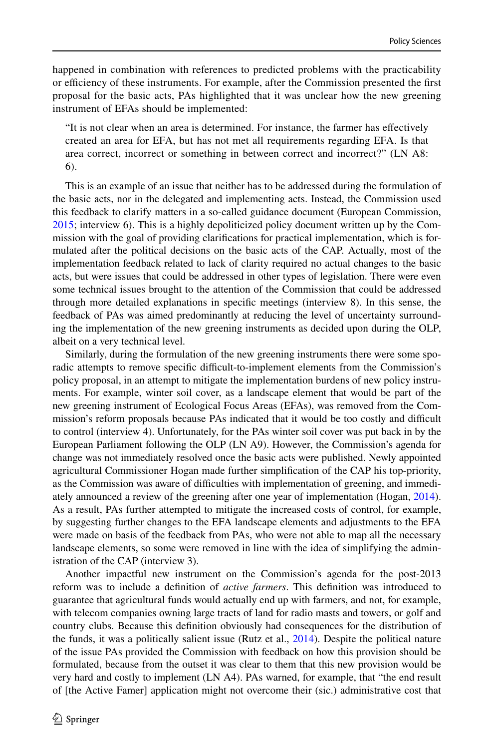happened in combination with references to predicted problems with the practicability or efficiency of these instruments. For example, after the Commission presented the first proposal for the basic acts, PAs highlighted that it was unclear how the new greening instrument of EFAs should be implemented:

"It is not clear when an area is determined. For instance, the farmer has efectively created an area for EFA, but has not met all requirements regarding EFA. Is that area correct, incorrect or something in between correct and incorrect?" (LN A8: 6).

This is an example of an issue that neither has to be addressed during the formulation of the basic acts, nor in the delegated and implementing acts. Instead, the Commission used this feedback to clarify matters in a so-called guidance document (European Commission, [2015;](#page-23-14) interview 6). This is a highly depoliticized policy document written up by the Commission with the goal of providing clarifcations for practical implementation, which is formulated after the political decisions on the basic acts of the CAP. Actually, most of the implementation feedback related to lack of clarity required no actual changes to the basic acts, but were issues that could be addressed in other types of legislation. There were even some technical issues brought to the attention of the Commission that could be addressed through more detailed explanations in specifc meetings (interview 8). In this sense, the feedback of PAs was aimed predominantly at reducing the level of uncertainty surrounding the implementation of the new greening instruments as decided upon during the OLP, albeit on a very technical level.

Similarly, during the formulation of the new greening instruments there were some sporadic attempts to remove specific difficult-to-implement elements from the Commission's policy proposal, in an attempt to mitigate the implementation burdens of new policy instruments. For example, winter soil cover, as a landscape element that would be part of the new greening instrument of Ecological Focus Areas (EFAs), was removed from the Commission's reform proposals because PAs indicated that it would be too costly and difficult to control (interview 4). Unfortunately, for the PAs winter soil cover was put back in by the European Parliament following the OLP (LN A9). However, the Commission's agenda for change was not immediately resolved once the basic acts were published. Newly appointed agricultural Commissioner Hogan made further simplifcation of the CAP his top-priority, as the Commission was aware of difculties with implementation of greening, and immediately announced a review of the greening after one year of implementation (Hogan, [2014](#page-24-24)). As a result, PAs further attempted to mitigate the increased costs of control, for example, by suggesting further changes to the EFA landscape elements and adjustments to the EFA were made on basis of the feedback from PAs, who were not able to map all the necessary landscape elements, so some were removed in line with the idea of simplifying the administration of the CAP (interview 3).

Another impactful new instrument on the Commission's agenda for the post-2013 reform was to include a defnition of *active farmers*. This defnition was introduced to guarantee that agricultural funds would actually end up with farmers, and not, for example, with telecom companies owning large tracts of land for radio masts and towers, or golf and country clubs. Because this defnition obviously had consequences for the distribution of the funds, it was a politically salient issue (Rutz et al., [2014](#page-24-25)). Despite the political nature of the issue PAs provided the Commission with feedback on how this provision should be formulated, because from the outset it was clear to them that this new provision would be very hard and costly to implement (LN A4). PAs warned, for example, that "the end result of [the Active Famer] application might not overcome their (sic.) administrative cost that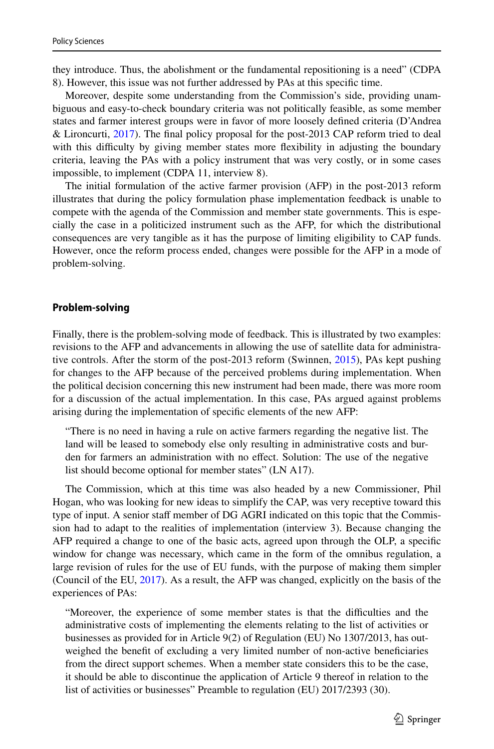they introduce. Thus, the abolishment or the fundamental repositioning is a need" (CDPA 8). However, this issue was not further addressed by PAs at this specifc time.

Moreover, despite some understanding from the Commission's side, providing unambiguous and easy-to-check boundary criteria was not politically feasible, as some member states and farmer interest groups were in favor of more loosely defned criteria (D'Andrea & Lironcurti, [2017\)](#page-23-15). The fnal policy proposal for the post-2013 CAP reform tried to deal with this difficulty by giving member states more flexibility in adjusting the boundary criteria, leaving the PAs with a policy instrument that was very costly, or in some cases impossible, to implement (CDPA 11, interview 8).

The initial formulation of the active farmer provision (AFP) in the post-2013 reform illustrates that during the policy formulation phase implementation feedback is unable to compete with the agenda of the Commission and member state governments. This is especially the case in a politicized instrument such as the AFP, for which the distributional consequences are very tangible as it has the purpose of limiting eligibility to CAP funds. However, once the reform process ended, changes were possible for the AFP in a mode of problem-solving.

#### **Problem‑solving**

Finally, there is the problem-solving mode of feedback. This is illustrated by two examples: revisions to the AFP and advancements in allowing the use of satellite data for administra-tive controls. After the storm of the post-2013 reform (Swinnen, [2015\)](#page-24-26), PAs kept pushing for changes to the AFP because of the perceived problems during implementation. When the political decision concerning this new instrument had been made, there was more room for a discussion of the actual implementation. In this case, PAs argued against problems arising during the implementation of specifc elements of the new AFP:

"There is no need in having a rule on active farmers regarding the negative list. The land will be leased to somebody else only resulting in administrative costs and burden for farmers an administration with no efect. Solution: The use of the negative list should become optional for member states" (LN A17).

The Commission, which at this time was also headed by a new Commissioner, Phil Hogan, who was looking for new ideas to simplify the CAP, was very receptive toward this type of input. A senior staff member of DG AGRI indicated on this topic that the Commission had to adapt to the realities of implementation (interview 3). Because changing the AFP required a change to one of the basic acts, agreed upon through the OLP, a specifc window for change was necessary, which came in the form of the omnibus regulation, a large revision of rules for the use of EU funds, with the purpose of making them simpler (Council of the EU, [2017](#page-23-16)). As a result, the AFP was changed, explicitly on the basis of the experiences of PAs:

"Moreover, the experience of some member states is that the difficulties and the administrative costs of implementing the elements relating to the list of activities or businesses as provided for in Article 9(2) of Regulation (EU) No 1307/2013, has outweighed the beneft of excluding a very limited number of non-active benefciaries from the direct support schemes. When a member state considers this to be the case, it should be able to discontinue the application of Article 9 thereof in relation to the list of activities or businesses" Preamble to regulation (EU) 2017/2393 (30).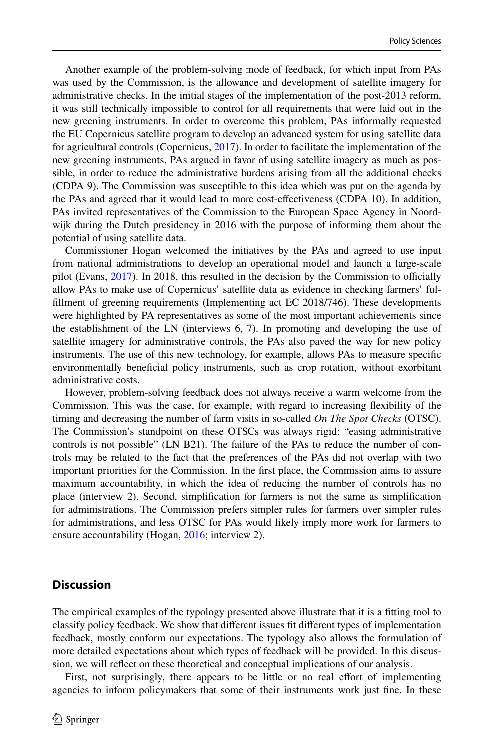Another example of the problem-solving mode of feedback, for which input from PAs was used by the Commission, is the allowance and development of satellite imagery for administrative checks. In the initial stages of the implementation of the post-2013 reform, it was still technically impossible to control for all requirements that were laid out in the new greening instruments. In order to overcome this problem, PAs informally requested the EU Copernicus satellite program to develop an advanced system for using satellite data for agricultural controls (Copernicus, [2017](#page-23-17)). In order to facilitate the implementation of the new greening instruments, PAs argued in favor of using satellite imagery as much as possible, in order to reduce the administrative burdens arising from all the additional checks (CDPA 9). The Commission was susceptible to this idea which was put on the agenda by the PAs and agreed that it would lead to more cost-efectiveness (CDPA 10). In addition, PAs invited representatives of the Commission to the European Space Agency in Noordwijk during the Dutch presidency in 2016 with the purpose of informing them about the potential of using satellite data.

Commissioner Hogan welcomed the initiatives by the PAs and agreed to use input from national administrations to develop an operational model and launch a large-scale pilot (Evans,  $2017$ ). In 2018, this resulted in the decision by the Commission to officially allow PAs to make use of Copernicus' satellite data as evidence in checking farmers' fulfllment of greening requirements (Implementing act EC 2018/746). These developments were highlighted by PA representatives as some of the most important achievements since the establishment of the LN (interviews 6, 7). In promoting and developing the use of satellite imagery for administrative controls, the PAs also paved the way for new policy instruments. The use of this new technology, for example, allows PAs to measure specifc environmentally benefcial policy instruments, such as crop rotation, without exorbitant administrative costs.

However, problem-solving feedback does not always receive a warm welcome from the Commission. This was the case, for example, with regard to increasing fexibility of the timing and decreasing the number of farm visits in so-called *On The Spot Checks* (OTSC). The Commission's standpoint on these OTSCs was always rigid: "easing administrative controls is not possible" (LN B21). The failure of the PAs to reduce the number of controls may be related to the fact that the preferences of the PAs did not overlap with two important priorities for the Commission. In the frst place, the Commission aims to assure maximum accountability, in which the idea of reducing the number of controls has no place (interview 2). Second, simplifcation for farmers is not the same as simplifcation for administrations. The Commission prefers simpler rules for farmers over simpler rules for administrations, and less OTSC for PAs would likely imply more work for farmers to ensure accountability (Hogan, [2016](#page-24-28); interview 2).

# **Discussion**

The empirical examples of the typology presented above illustrate that it is a ftting tool to classify policy feedback. We show that diferent issues ft diferent types of implementation feedback, mostly conform our expectations. The typology also allows the formulation of more detailed expectations about which types of feedback will be provided. In this discussion, we will refect on these theoretical and conceptual implications of our analysis.

First, not surprisingly, there appears to be little or no real efort of implementing agencies to inform policymakers that some of their instruments work just fne. In these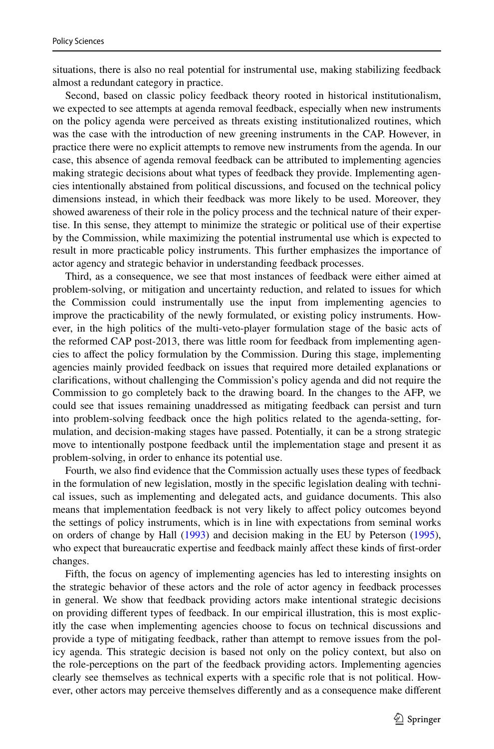situations, there is also no real potential for instrumental use, making stabilizing feedback almost a redundant category in practice.

Second, based on classic policy feedback theory rooted in historical institutionalism, we expected to see attempts at agenda removal feedback, especially when new instruments on the policy agenda were perceived as threats existing institutionalized routines, which was the case with the introduction of new greening instruments in the CAP. However, in practice there were no explicit attempts to remove new instruments from the agenda. In our case, this absence of agenda removal feedback can be attributed to implementing agencies making strategic decisions about what types of feedback they provide. Implementing agencies intentionally abstained from political discussions, and focused on the technical policy dimensions instead, in which their feedback was more likely to be used. Moreover, they showed awareness of their role in the policy process and the technical nature of their expertise. In this sense, they attempt to minimize the strategic or political use of their expertise by the Commission, while maximizing the potential instrumental use which is expected to result in more practicable policy instruments. This further emphasizes the importance of actor agency and strategic behavior in understanding feedback processes.

Third, as a consequence, we see that most instances of feedback were either aimed at problem-solving, or mitigation and uncertainty reduction, and related to issues for which the Commission could instrumentally use the input from implementing agencies to improve the practicability of the newly formulated, or existing policy instruments. However, in the high politics of the multi-veto-player formulation stage of the basic acts of the reformed CAP post-2013, there was little room for feedback from implementing agencies to afect the policy formulation by the Commission. During this stage, implementing agencies mainly provided feedback on issues that required more detailed explanations or clarifcations, without challenging the Commission's policy agenda and did not require the Commission to go completely back to the drawing board. In the changes to the AFP, we could see that issues remaining unaddressed as mitigating feedback can persist and turn into problem-solving feedback once the high politics related to the agenda-setting, formulation, and decision-making stages have passed. Potentially, it can be a strong strategic move to intentionally postpone feedback until the implementation stage and present it as problem-solving, in order to enhance its potential use.

Fourth, we also fnd evidence that the Commission actually uses these types of feedback in the formulation of new legislation, mostly in the specifc legislation dealing with technical issues, such as implementing and delegated acts, and guidance documents. This also means that implementation feedback is not very likely to afect policy outcomes beyond the settings of policy instruments, which is in line with expectations from seminal works on orders of change by Hall [\(1993](#page-24-4)) and decision making in the EU by Peterson [\(1995](#page-24-11)), who expect that bureaucratic expertise and feedback mainly afect these kinds of frst-order changes.

Fifth, the focus on agency of implementing agencies has led to interesting insights on the strategic behavior of these actors and the role of actor agency in feedback processes in general. We show that feedback providing actors make intentional strategic decisions on providing diferent types of feedback. In our empirical illustration, this is most explicitly the case when implementing agencies choose to focus on technical discussions and provide a type of mitigating feedback, rather than attempt to remove issues from the policy agenda. This strategic decision is based not only on the policy context, but also on the role-perceptions on the part of the feedback providing actors. Implementing agencies clearly see themselves as technical experts with a specifc role that is not political. However, other actors may perceive themselves diferently and as a consequence make diferent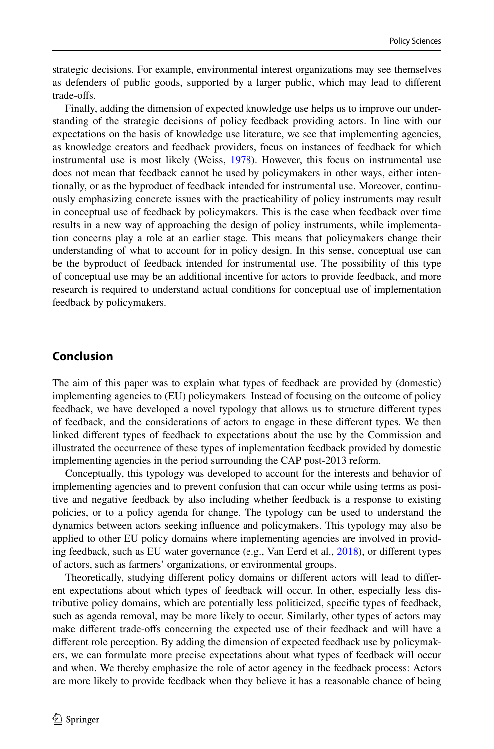strategic decisions. For example, environmental interest organizations may see themselves as defenders of public goods, supported by a larger public, which may lead to diferent trade-ofs.

Finally, adding the dimension of expected knowledge use helps us to improve our understanding of the strategic decisions of policy feedback providing actors. In line with our expectations on the basis of knowledge use literature, we see that implementing agencies, as knowledge creators and feedback providers, focus on instances of feedback for which instrumental use is most likely (Weiss, [1978\)](#page-25-6). However, this focus on instrumental use does not mean that feedback cannot be used by policymakers in other ways, either intentionally, or as the byproduct of feedback intended for instrumental use. Moreover, continuously emphasizing concrete issues with the practicability of policy instruments may result in conceptual use of feedback by policymakers. This is the case when feedback over time results in a new way of approaching the design of policy instruments, while implementation concerns play a role at an earlier stage. This means that policymakers change their understanding of what to account for in policy design. In this sense, conceptual use can be the byproduct of feedback intended for instrumental use. The possibility of this type of conceptual use may be an additional incentive for actors to provide feedback, and more research is required to understand actual conditions for conceptual use of implementation feedback by policymakers.

# **Conclusion**

The aim of this paper was to explain what types of feedback are provided by (domestic) implementing agencies to (EU) policymakers. Instead of focusing on the outcome of policy feedback, we have developed a novel typology that allows us to structure diferent types of feedback, and the considerations of actors to engage in these diferent types. We then linked diferent types of feedback to expectations about the use by the Commission and illustrated the occurrence of these types of implementation feedback provided by domestic implementing agencies in the period surrounding the CAP post-2013 reform.

Conceptually, this typology was developed to account for the interests and behavior of implementing agencies and to prevent confusion that can occur while using terms as positive and negative feedback by also including whether feedback is a response to existing policies, or to a policy agenda for change. The typology can be used to understand the dynamics between actors seeking infuence and policymakers. This typology may also be applied to other EU policy domains where implementing agencies are involved in providing feedback, such as EU water governance (e.g., Van Eerd et al., [2018\)](#page-25-9), or diferent types of actors, such as farmers' organizations, or environmental groups.

Theoretically, studying diferent policy domains or diferent actors will lead to diferent expectations about which types of feedback will occur. In other, especially less distributive policy domains, which are potentially less politicized, specifc types of feedback, such as agenda removal, may be more likely to occur. Similarly, other types of actors may make diferent trade-ofs concerning the expected use of their feedback and will have a diferent role perception. By adding the dimension of expected feedback use by policymakers, we can formulate more precise expectations about what types of feedback will occur and when. We thereby emphasize the role of actor agency in the feedback process: Actors are more likely to provide feedback when they believe it has a reasonable chance of being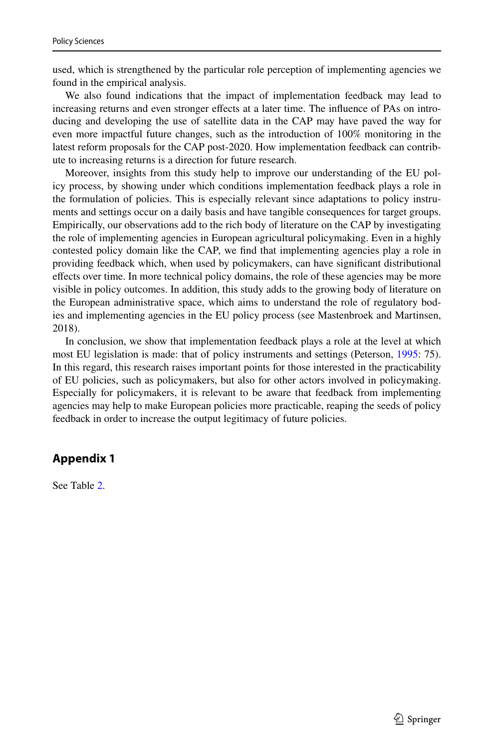used, which is strengthened by the particular role perception of implementing agencies we found in the empirical analysis.

We also found indications that the impact of implementation feedback may lead to increasing returns and even stronger effects at a later time. The influence of PAs on introducing and developing the use of satellite data in the CAP may have paved the way for even more impactful future changes, such as the introduction of 100% monitoring in the latest reform proposals for the CAP post-2020. How implementation feedback can contribute to increasing returns is a direction for future research.

Moreover, insights from this study help to improve our understanding of the EU policy process, by showing under which conditions implementation feedback plays a role in the formulation of policies. This is especially relevant since adaptations to policy instruments and settings occur on a daily basis and have tangible consequences for target groups. Empirically, our observations add to the rich body of literature on the CAP by investigating the role of implementing agencies in European agricultural policymaking. Even in a highly contested policy domain like the CAP, we fnd that implementing agencies play a role in providing feedback which, when used by policymakers, can have signifcant distributional efects over time. In more technical policy domains, the role of these agencies may be more visible in policy outcomes. In addition, this study adds to the growing body of literature on the European administrative space, which aims to understand the role of regulatory bodies and implementing agencies in the EU policy process (see Mastenbroek and Martinsen, 2018).

In conclusion, we show that implementation feedback plays a role at the level at which most EU legislation is made: that of policy instruments and settings (Peterson, [1995](#page-24-11): 75). In this regard, this research raises important points for those interested in the practicability of EU policies, such as policymakers, but also for other actors involved in policymaking. Especially for policymakers, it is relevant to be aware that feedback from implementing agencies may help to make European policies more practicable, reaping the seeds of policy feedback in order to increase the output legitimacy of future policies.

# **Appendix 1**

See Table [2](#page-19-0).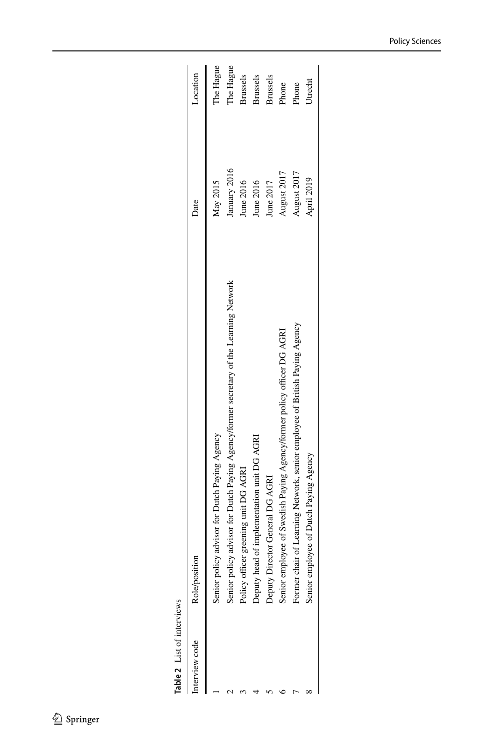| terview code | Role/position                                                                          | Date         | Location        |
|--------------|----------------------------------------------------------------------------------------|--------------|-----------------|
|              | Senior policy advisor for Dutch Paying Agency                                          | May 2015     | The Hague       |
|              | Senior policy advisor for Dutch Paying Agency/former secretary of the Learning Network | January 2016 | The Hague       |
|              | Policy officer greening unit DG AGRI                                                   | June 2016    | <b>Brussels</b> |
|              | Deputy head of implementation unit DG AGRI                                             | June 2016    | Brussels        |
|              | Deputy Director General DG AGRI                                                        | June 2017    | Brussels        |
|              | senior employee of Swedish Paying Agency/former policy officer DG AGRI                 | August 2017  | Phone           |
|              | Former chair of Learning Network, senior employee of British Paying Agency             | August 2017  | Phone           |
|              | Senior employee of Dutch Paying Agency                                                 | April 2019   | Utrecht         |
|              |                                                                                        |              |                 |

<span id="page-19-0"></span>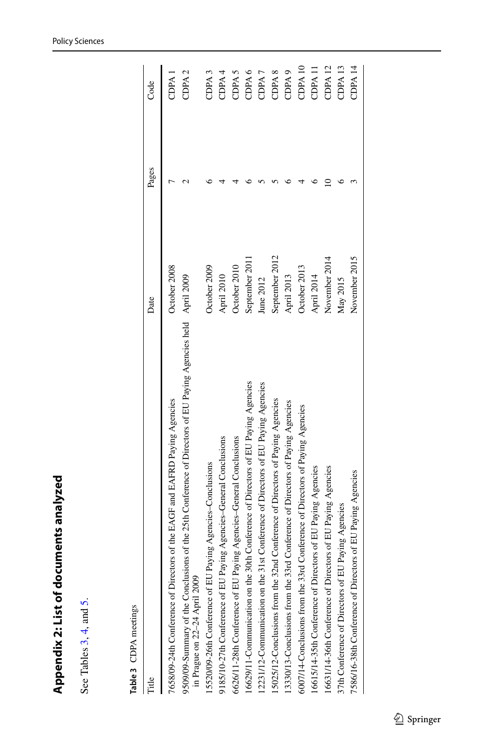<span id="page-20-0"></span>

| I      |
|--------|
|        |
|        |
| l<br>ı |
|        |
|        |
| l      |
|        |
|        |
|        |
| I      |
|        |
|        |
|        |
|        |
|        |
|        |
|        |
|        |
| i      |
|        |
|        |
| I      |
|        |
|        |
|        |
|        |
|        |
|        |
|        |
| I      |

See Tables 3, 4, and 5. See Tables [3](#page-20-1), [4](#page-21-0), and [5](#page-22-0).

<span id="page-20-1"></span>

| J<br>î |
|--------|
|        |
| ١      |

|                                                                                                                                               | Date           | Pages | Code               |
|-----------------------------------------------------------------------------------------------------------------------------------------------|----------------|-------|--------------------|
| 7658/09-24th Conference of Directors of the EAGF and EAFRD Paying Agencies                                                                    | October 2008   |       | CDPA <sub>1</sub>  |
| 9509/09-Summary of the Conclusions of the 25th Conference of Directors of EU Paying Agencies held April 2009<br>in Prague on 22-24 April 2009 |                |       | CDPA <sub>2</sub>  |
| 15520/09-26th Conference of EU Paying Agencies-Conclusions                                                                                    | October 2009   |       | CDPA <sub>3</sub>  |
| 9185/10-27th Conference of EU Paying Agencies-General Conclusions                                                                             | April 2010     |       | CDPA4              |
| 6626/11-28th Conference of EU Paying Agencies-General Conclusions                                                                             | October 2010   |       | CDPA <sub>5</sub>  |
| 16629/11-Communication on the 30th Conference of Directors of EU Paying Agencies                                                              | September 2011 |       | CDPA <sub>6</sub>  |
| st Conference of Directors of EU Paying Agencies<br>12231/12-Communication on the 31                                                          | June 2012      |       | CDPA <sub>7</sub>  |
| 15025/12-Conclusions from the 32nd Conference of Directors of Paying Agencies                                                                 | September 2012 |       | CDPA <sub>8</sub>  |
| 13330/13-Conclusions from the 33rd Conference of Directors of Paying Agencies                                                                 | April 2013     |       | CDPA <sub>9</sub>  |
| 6007/14-Conclusions from the 33rd Conference of Directors of Paying Agencies                                                                  | October 2013   |       | CDPA <sub>10</sub> |
| 16615/14-35th Conference of Directors of EU Paying Agencies                                                                                   | April 2014     |       | CDPA <sub>11</sub> |
| 16631/14-36th Conference of Directors of EU Paying Agencies                                                                                   | November 2014  |       | CDPA <sub>12</sub> |
| 37th Conference of Directors of EU Paying Agencies                                                                                            | May 2015       |       | CDPA <sub>13</sub> |
| 7586/16-38th Conference of Directors of EU Paying Agencies                                                                                    | November 2015  |       | CDPA <sub>14</sub> |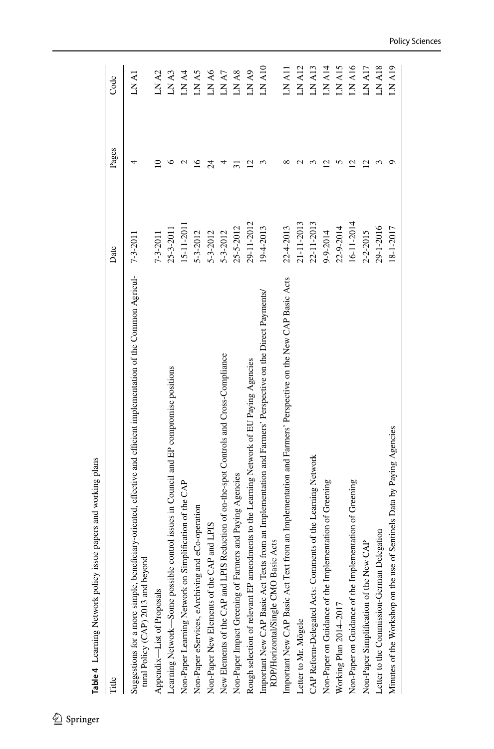<span id="page-21-0"></span>

| Date<br>Title                                                                                                                                            |                | Pages           | Code              |
|----------------------------------------------------------------------------------------------------------------------------------------------------------|----------------|-----------------|-------------------|
| Suggestions for a more simple, beneficiary-oriented, effective and efficient implementation of the Common Agricul-<br>tural Policy (CAP) 2013 and beyond | $7 - 3 - 2011$ | 4               | LN A1             |
| Appendix-List of Proposals                                                                                                                               | $7 - 3 - 2011$ | ≘               | LN A <sub>2</sub> |
| Learning Network-Some possible control issues in Council and EP compromise positions                                                                     | 25-3-2011      |                 | LN A3             |
| Non-Paper Learning Network on Simplification of the CAP                                                                                                  | 15-11-2011     |                 | LN A4             |
| Non-Paper eServices, eArchiving and eCo-operation                                                                                                        | 5-3-2012       | 91              | LNA5              |
| Non-Paper New Elements of the CAP and LPIS                                                                                                               | $5 - 3 - 2012$ | $\overline{24}$ | LNA6              |
| New Elements of the CAP and LPIS Reduction of on-the-spot Controls and Cross-Compliance                                                                  | $5 - 3 - 2012$ | 4               | LN A7             |
| Non-Paper Impact Greening of Farmers and Paying Agencies                                                                                                 | 25-5-2012      |                 | LN A8             |
| Rough selection of relevant EP amendments to the Learning Network of EU Paying Agencies                                                                  | 29-11-2012     | S               | LNA9              |
| Important New CAP Basic Act Texts from an Implementation and Farmers' Perspective on the Direct Payments/<br>RDP/Horizontal/Single CMO Basic Acts        | 19-4-2013      |                 | $LN$ A10          |
| Important New CAP Basic Act Text from an Implementation and Farmers' Perspective on the New CAP Basic Acts                                               | 22-4-2013      |                 | LN A11            |
| Letter to Mr. Mögele                                                                                                                                     | 21-11-2013     |                 | LN A12            |
| CAP Reform-Delegated Acts: Comments of the Learning Network                                                                                              | 22-11-2013     |                 | LNA13             |
| Non-Paper on Guidance of the Implementation of Greening                                                                                                  | 9-9-2014       |                 | LN A14            |
| Working Plan 2014-2017                                                                                                                                   | 22-9-2014      |                 | LNA15             |
| Non-Paper on Guidance of the Implementation of Greening                                                                                                  | 16-11-2014     | N               | <b>LN A16</b>     |
| Non-Paper Simplification of the New CAP                                                                                                                  | 2-2-2015       | N               | LN A17            |
| Letter to the Commission-German Delegation                                                                                                               | 29-1-2016      |                 | LN A18            |
| Minutes of the Workshop on the use of Sentinels Data by Paying Agencies                                                                                  | 18-1-2017      |                 | LN A19            |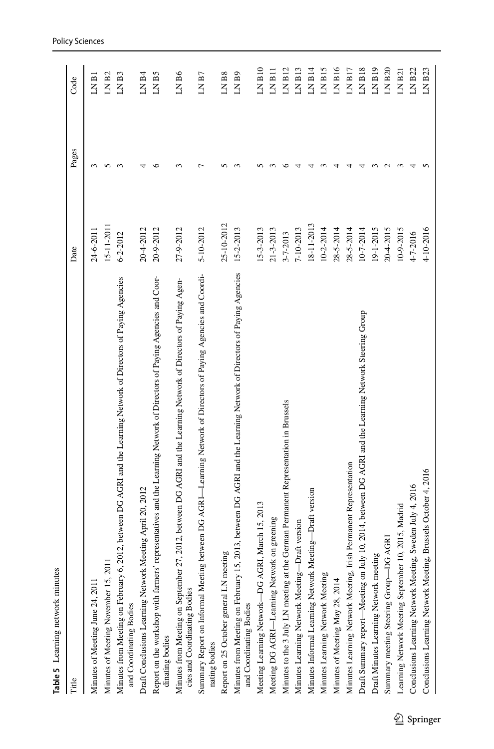<span id="page-22-0"></span>

| Table 5 Learning network minutes                                                                                                                  |                 |                      |                    |
|---------------------------------------------------------------------------------------------------------------------------------------------------|-----------------|----------------------|--------------------|
| Title                                                                                                                                             | Date            | Pages                | Code               |
| Minutes of Meeting June 24, 2011                                                                                                                  | 24-6-2011       | 3                    | LN B1              |
| Minutes of Meeting November 15, 201                                                                                                               | $15 - 11 - 201$ | S                    | LN <sub>B2</sub>   |
| Minutes from Meeting on February 6, 2012, between DG AGRI and the Learning Network of Directors of Paying Agencies<br>and Coordinating Bodies     | $6 - 2 - 2012$  | $\mathbf{\tilde{5}}$ | LN <sub>B3</sub>   |
| Draft Conclusions Learning Network Meeting April 20, 2012                                                                                         | 20-4-2012       |                      | LN B4              |
| Report on the workshop with farmers' representatives and the Learning Network of Directors of Paying Agencies and Coor-<br>dinating bodies        | 20-9-2012       | ١C                   | LN <sub>B5</sub>   |
| Minutes from Meeting on September 27, 2012, between DG AGRI and the Learning Network of Directors of Paying Agen-<br>cies and Coordinating Bodies | 27-9-2012       |                      | LN B6              |
| between DG AGRI-Learning Network of Directors of Paying Agencies and Coordi-<br>Summary Report on Informal Meeting<br>nating bodies               | 5-10-2012       |                      | LN B7              |
| Report on 25 October general LN meeting                                                                                                           | 25-10-2012      |                      | LN <sub>B</sub> 8  |
| Minutes from Meeting on February 15, 2013, between DG AGRI and the Learning Network of Directors of Paying Agencies<br>and Coordinating Bodies    | $15 - 2 - 2013$ |                      | LN <sub>B9</sub>   |
| Meeting Learning Network-DG AGRI, March 15, 2013                                                                                                  | $15 - 3 - 2013$ |                      | $LN$ $B10$         |
| Meeting DG AGRI-Learning Network on greening                                                                                                      | 21-3-2013       |                      | LN B11             |
| Minutes to the 3 July LN meeting at the German Permanent Representation in Brussels                                                               | 3-7-2013        |                      | LNB12              |
| Draft version<br>Minutes Learning Network Meeting-                                                                                                | 7-10-2013       |                      | LN B13             |
| Minutes Informal Learning Network Meeting-Draft version                                                                                           | 18-11-2013      |                      | LN B14             |
| Minutes Learning Network Meeting                                                                                                                  | 10-2-2014       |                      | LN B15             |
| Minutes of Meeting May 28, 2014                                                                                                                   | $28 - 5 - 2014$ |                      | LNB16              |
| Minutes Learning Network Meeting, Irish Permanent Representation                                                                                  | $28 - 5 - 2014$ |                      | LN B17             |
| Draft Summary report-Meeting on July 10, 2014, between DG AGRI and the Learning Network Steering Group                                            | $10 - 7 - 2014$ |                      | LN B18             |
| Draft Minutes Learning Network meeting                                                                                                            | 19-1-2015       |                      | LN B <sub>19</sub> |
| Summary meeting Steering Group-DG AGRI                                                                                                            | 20-4-2015       |                      | LN B20             |
| Learning Network Meeting September 10, 2015, Madrid                                                                                               | 10-9-2015       |                      | LN B21             |
| Conclusions Learning Network Meeting, Sweden July 4, 2016                                                                                         | 4-7-2016        |                      | LN B22             |
| Conclusions Learning Network Meeting, Brussels October 4, 2016                                                                                    | 4-10-2016       |                      | LNB23              |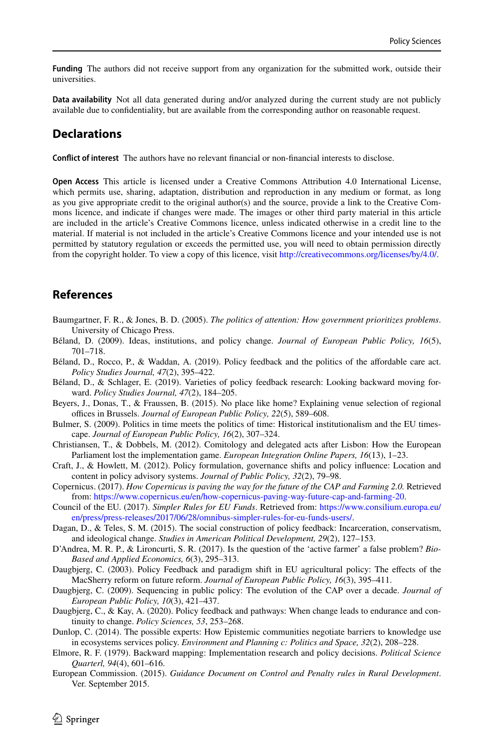**Funding** The authors did not receive support from any organization for the submitted work, outside their universities.

**Data availability** Not all data generated during and/or analyzed during the current study are not publicly available due to confdentiality, but are available from the corresponding author on reasonable request.

# **Declarations**

**Confict of interest** The authors have no relevant fnancial or non-fnancial interests to disclose.

**Open Access** This article is licensed under a Creative Commons Attribution 4.0 International License, which permits use, sharing, adaptation, distribution and reproduction in any medium or format, as long as you give appropriate credit to the original author(s) and the source, provide a link to the Creative Commons licence, and indicate if changes were made. The images or other third party material in this article are included in the article's Creative Commons licence, unless indicated otherwise in a credit line to the material. If material is not included in the article's Creative Commons licence and your intended use is not permitted by statutory regulation or exceeds the permitted use, you will need to obtain permission directly from the copyright holder. To view a copy of this licence, visit [http://creativecommons.org/licenses/by/4.0/.](http://creativecommons.org/licenses/by/4.0/)

# **References**

- <span id="page-23-10"></span>Baumgartner, F. R., & Jones, B. D. (2005). *The politics of attention: How government prioritizes problems*. University of Chicago Press.
- <span id="page-23-5"></span>Béland, D. (2009). Ideas, institutions, and policy change. *Journal of European Public Policy, 16*(5), 701–718.
- <span id="page-23-4"></span>Béland, D., Rocco, P., & Waddan, A. (2019). Policy feedback and the politics of the afordable care act. *Policy Studies Journal, 47*(2), 395–422.
- <span id="page-23-2"></span>Béland, D., & Schlager, E. (2019). Varieties of policy feedback research: Looking backward moving forward. *Policy Studies Journal, 47*(2), 184–205.
- <span id="page-23-9"></span>Beyers, J., Donas, T., & Fraussen, B. (2015). No place like home? Explaining venue selection of regional offices in Brussels. *Journal of European Public Policy*, 22(5), 589–608.
- <span id="page-23-0"></span>Bulmer, S. (2009). Politics in time meets the politics of time: Historical institutionalism and the EU timescape. *Journal of European Public Policy, 16*(2), 307–324.
- <span id="page-23-13"></span>Christiansen, T., & Dobbels, M. (2012). Comitology and delegated acts after Lisbon: How the European Parliament lost the implementation game. *European Integration Online Papers, 16*(13), 1–23.
- <span id="page-23-12"></span>Craft, J., & Howlett, M. (2012). Policy formulation, governance shifts and policy infuence: Location and content in policy advisory systems. *Journal of Public Policy, 32*(2), 79–98.
- <span id="page-23-17"></span>Copernicus. (2017). *How Copernicus is paving the way for the future of the CAP and Farming 2.0.* Retrieved from: [https://www.copernicus.eu/en/how-copernicus-paving-way-future-cap-and-farming-20.](https://www.copernicus.eu/en/how-copernicus-paving-way-future-cap-and-farming-20)
- <span id="page-23-16"></span>Council of the EU. (2017). *Simpler Rules for EU Funds*. Retrieved from: [https://www.consilium.europa.eu/](https://www.consilium.europa.eu/en/press/press-releases/2017/06/28/omnibus-simpler-rules-for-eu-funds-users/) [en/press/press-releases/2017/06/28/omnibus-simpler-rules-for-eu-funds-users/](https://www.consilium.europa.eu/en/press/press-releases/2017/06/28/omnibus-simpler-rules-for-eu-funds-users/).
- <span id="page-23-3"></span>Dagan, D., & Teles, S. M. (2015). The social construction of policy feedback: Incarceration, conservatism, and ideological change. *Studies in American Political Development, 29*(2), 127–153.
- <span id="page-23-15"></span>D'Andrea, M. R. P., & Lironcurti, S. R. (2017). Is the question of the 'active farmer' a false problem? *Bio-Based and Applied Economics, 6*(3), 295–313.
- <span id="page-23-7"></span>Daugbjerg, C. (2003). Policy Feedback and paradigm shift in EU agricultural policy: The efects of the MacSherry reform on future reform. *Journal of European Public Policy, 16*(3), 395–411.
- <span id="page-23-8"></span>Daugbjerg, C. (2009). Sequencing in public policy: The evolution of the CAP over a decade. *Journal of European Public Policy, 10*(3), 421–437.
- <span id="page-23-1"></span>Daugbjerg, C., & Kay, A. (2020). Policy feedback and pathways: When change leads to endurance and continuity to change. *Policy Sciences, 53*, 253–268.
- <span id="page-23-11"></span>Dunlop, C. (2014). The possible experts: How Epistemic communities negotiate barriers to knowledge use in ecosystems services policy. *Environment and Planning c: Politics and Space, 32*(2), 208–228.
- <span id="page-23-6"></span>Elmore, R. F. (1979). Backward mapping: Implementation research and policy decisions. *Political Science Quarterl, 94*(4), 601–616.
- <span id="page-23-14"></span>European Commission. (2015). *Guidance Document on Control and Penalty rules in Rural Development*. Ver. September 2015.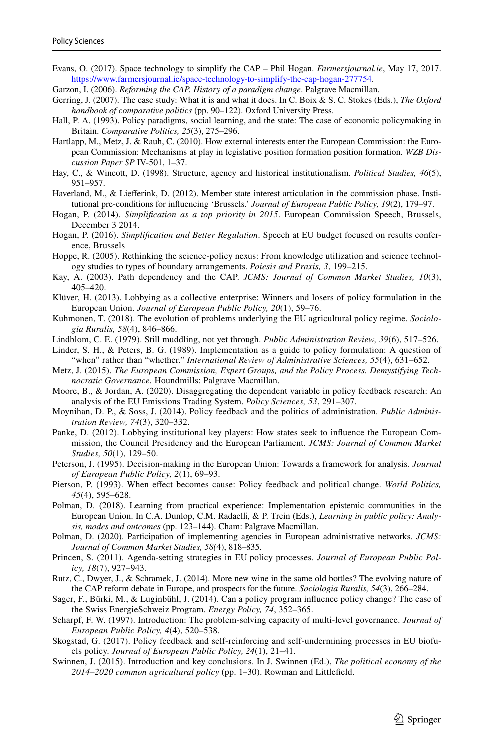- <span id="page-24-27"></span>Evans, O. (2017). Space technology to simplify the CAP – Phil Hogan. *Farmersjournal.ie*, May 17, 2017. [https://www.farmersjournal.ie/space-technology-to-simplify-the-cap-hogan-277754.](https://www.farmersjournal.ie/space-technology-to-simplify-the-cap-hogan-277754)
- <span id="page-24-7"></span>Garzon, I. (2006). *Reforming the CAP. History of a paradigm change*. Palgrave Macmillan.
- <span id="page-24-23"></span>Gerring, J. (2007). The case study: What it is and what it does. In C. Boix & S. C. Stokes (Eds.), *The Oxford handbook of comparative politics* (pp. 90–122). Oxford University Press.
- <span id="page-24-4"></span>Hall, P. A. (1993). Policy paradigms, social learning, and the state: The case of economic policymaking in Britain. *Comparative Politics, 25*(3), 275–296.
- <span id="page-24-16"></span>Hartlapp, M., Metz, J. & Rauh, C. (2010). How external interests enter the European Commission: the European Commission: Mechanisms at play in legislative position formation position formation. *WZB Discussion Paper SP* IV-501, 1–37.
- <span id="page-24-17"></span>Hay, C., & Wincott, D. (1998). Structure, agency and historical institutionalism. *Political Studies, 46*(5), 951–957.
- <span id="page-24-3"></span>Haverland, M., & Lieferink, D. (2012). Member state interest articulation in the commission phase. Institutional pre-conditions for infuencing 'Brussels.' *Journal of European Public Policy, 19*(2), 179–97.
- <span id="page-24-24"></span>Hogan, P. (2014). *Simplifcation as a top priority in 2015*. European Commission Speech, Brussels, December 3 2014.
- <span id="page-24-28"></span>Hogan, P. (2016). *Simplifcation and Better Regulation*. Speech at EU budget focused on results conference, Brussels
- <span id="page-24-19"></span>Hoppe, R. (2005). Rethinking the science-policy nexus: From knowledge utilization and science technology studies to types of boundary arrangements. *Poiesis and Praxis, 3*, 199–215.
- <span id="page-24-8"></span>Kay, A. (2003). Path dependency and the CAP. *JCMS: Journal of Common Market Studies, 10*(3), 405–420.
- <span id="page-24-15"></span>Klüver, H. (2013). Lobbying as a collective enterprise: Winners and losers of policy formulation in the European Union. *Journal of European Public Policy, 20*(1), 59–76.
- <span id="page-24-9"></span>Kuhmonen, T. (2018). The evolution of problems underlying the EU agricultural policy regime. *Sociologia Ruralis, 58*(4), 846–866.
- <span id="page-24-14"></span>Lindblom, C. E. (1979). Still muddling, not yet through. *Public Administration Review, 39*(6), 517–526.
- <span id="page-24-21"></span>Linder, S. H., & Peters, B. G. (1989). Implementation as a guide to policy formulation: A question of "when" rather than "whether." *International Review of Administrative Sciences, 55*(4), 631–652.
- <span id="page-24-12"></span>Metz, J. (2015). *The European Commission, Expert Groups, and the Policy Process. Demystifying Technocratic Governance.* Houndmills: Palgrave Macmillan.
- <span id="page-24-1"></span>Moore, B., & Jordan, A. (2020). Disaggregating the dependent variable in policy feedback research: An analysis of the EU Emissions Trading System. *Policy Sciences, 53*, 291–307.
- <span id="page-24-2"></span>Moynihan, D. P., & Soss, J. (2014). Policy feedback and the politics of administration. *Public Administration Review, 74*(3), 320–332.
- <span id="page-24-18"></span>Panke, D. (2012). Lobbying institutional key players: How states seek to infuence the European Commission, the Council Presidency and the European Parliament. *JCMS: Journal of Common Market Studies, 50*(1), 129–50.
- <span id="page-24-11"></span>Peterson, J. (1995). Decision-making in the European Union: Towards a framework for analysis. *Journal of European Public Policy, 2*(1), 69–93.
- <span id="page-24-13"></span>Pierson, P. (1993). When efect becomes cause: Policy feedback and political change. *World Politics, 45*(4), 595–628.
- <span id="page-24-6"></span>Polman, D. (2018). Learning from practical experience: Implementation epistemic communities in the European Union. In C.A. Dunlop, C.M. Radaelli, & P. Trein (Eds.), *Learning in public policy: Analysis, modes and outcomes* (pp. 123–144). Cham: Palgrave Macmillan.
- <span id="page-24-10"></span>Polman, D. (2020). Participation of implementing agencies in European administrative networks. *JCMS: Journal of Common Market Studies, 58(*4), 818–835.
- <span id="page-24-20"></span>Princen, S. (2011). Agenda-setting strategies in EU policy processes. *Journal of European Public Policy, 18*(7), 927–943.
- <span id="page-24-25"></span>Rutz, C., Dwyer, J., & Schramek, J. (2014). More new wine in the same old bottles? The evolving nature of the CAP reform debate in Europe, and prospects for the future. *Sociologia Ruralis, 54*(3), 266–284.
- <span id="page-24-5"></span>Sager, F., Bürki, M., & Luginbühl, J. (2014). Can a policy program infuence policy change? The case of the Swiss EnergieSchweiz Program. *Energy Policy, 74*, 352–365.
- <span id="page-24-22"></span>Scharpf, F. W. (1997). Introduction: The problem-solving capacity of multi-level governance. *Journal of European Public Policy, 4*(4), 520–538.
- <span id="page-24-0"></span>Skogstad, G. (2017). Policy feedback and self-reinforcing and self-undermining processes in EU biofuels policy. *Journal of European Public Policy, 24*(1), 21–41.
- <span id="page-24-26"></span>Swinnen, J. (2015). Introduction and key conclusions. In J. Swinnen (Ed.), *The political economy of the 2014–2020 common agricultural policy* (pp. 1–30). Rowman and Littlefeld.